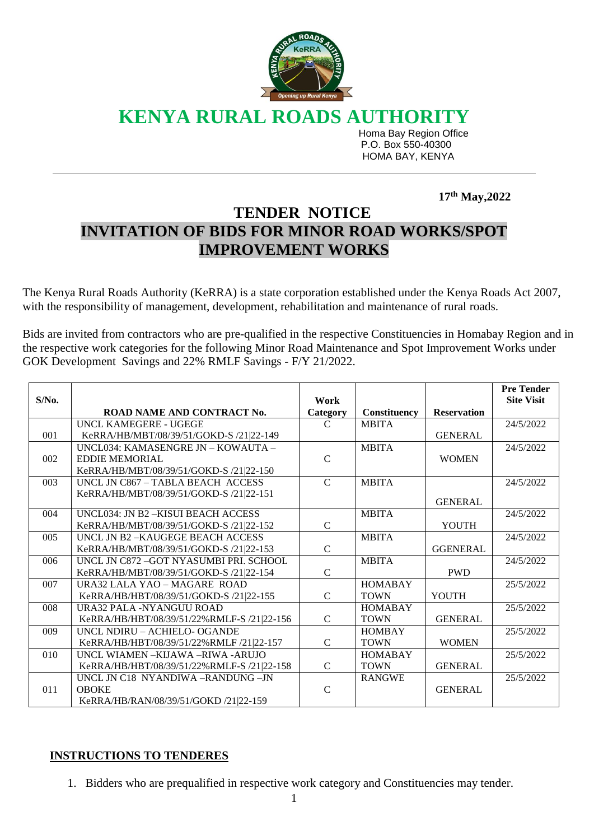

**KENYA RURAL ROADS AUTHORITY**

 Homa Bay Region Office P.O. Box 550-40300 HOMA BAY, KENYA

 **17 th May,2022** 

## **TENDER NOTICE INVITATION OF BIDS FOR MINOR ROAD WORKS/SPOT IMPROVEMENT WORKS**

The Kenya Rural Roads Authority (KeRRA) is a state corporation established under the Kenya Roads Act 2007, with the responsibility of management, development, rehabilitation and maintenance of rural roads.

Bids are invited from contractors who are pre-qualified in the respective Constituencies in Homabay Region and in the respective work categories for the following Minor Road Maintenance and Spot Improvement Works under GOK Development Savings and 22% RMLF Savings - F/Y 21/2022.

| $S/N0$ . |                                            | Work          |                |                    | <b>Pre Tender</b><br><b>Site Visit</b> |
|----------|--------------------------------------------|---------------|----------------|--------------------|----------------------------------------|
|          | ROAD NAME AND CONTRACT No.                 | Category      | Constituency   | <b>Reservation</b> |                                        |
|          | UNCL KAMEGERE - UGEGE                      | $\mathcal{C}$ | <b>MBITA</b>   |                    | 24/5/2022                              |
| 001      | KeRRA/HB/MBT/08/39/51/GOKD-S /21 22-149    |               |                | <b>GENERAL</b>     |                                        |
|          | UNCL034: KAMASENGRE JN - KOWAUTA -         |               | <b>MBITA</b>   |                    | 24/5/2022                              |
| 002      | <b>EDDIE MEMORIAL</b>                      | $\mathbf C$   |                | <b>WOMEN</b>       |                                        |
|          | KeRRA/HB/MBT/08/39/51/GOKD-S /21 22-150    |               |                |                    |                                        |
| 003      | UNCL JN C867 - TABLA BEACH ACCESS          | $\mathcal{C}$ | <b>MBITA</b>   |                    | 24/5/2022                              |
|          | KeRRA/HB/MBT/08/39/51/GOKD-S /21 22-151    |               |                |                    |                                        |
|          |                                            |               |                | <b>GENERAL</b>     |                                        |
| 004      | UNCL034: JN B2-KISUI BEACH ACCESS          |               | <b>MBITA</b>   |                    | 24/5/2022                              |
|          | KeRRA/HB/MBT/08/39/51/GOKD-S /21 22-152    | $\mathbf C$   |                | YOUTH              |                                        |
| 005      | UNCL JN B2-KAUGEGE BEACH ACCESS            |               | <b>MBITA</b>   |                    | 24/5/2022                              |
|          | KeRRA/HB/MBT/08/39/51/GOKD-S /21 22-153    | $\mathsf{C}$  |                | <b>GGENERAL</b>    |                                        |
| 006      | UNCL JN C872 -GOT NYASUMBI PRI. SCHOOL     |               | <b>MBITA</b>   |                    | 24/5/2022                              |
|          | KeRRA/HB/MBT/08/39/51/GOKD-S /21 22-154    | $\mathbf C$   |                | <b>PWD</b>         |                                        |
| 007      | URA32 LALA YAO - MAGARE ROAD               |               | <b>HOMABAY</b> |                    | 25/5/2022                              |
|          | KeRRA/HB/HBT/08/39/51/GOKD-S /21 22-155    | $\mathcal{C}$ | <b>TOWN</b>    | YOUTH              |                                        |
| 008      | URA32 PALA -NYANGUU ROAD                   |               | <b>HOMABAY</b> |                    | 25/5/2022                              |
|          | KeRRA/HB/HBT/08/39/51/22%RMLF-S /21 22-156 | $\mathbf C$   | <b>TOWN</b>    | <b>GENERAL</b>     |                                        |
| 009      | UNCL NDIRU - ACHIELO- OGANDE               |               | <b>HOMBAY</b>  |                    | 25/5/2022                              |
|          | KeRRA/HB/HBT/08/39/51/22%RMLF /21 22-157   | $\mathbf C$   | <b>TOWN</b>    | <b>WOMEN</b>       |                                        |
| 010      | UNCL WIAMEN-KIJAWA-RIWA-ARUJO              |               | <b>HOMABAY</b> |                    | 25/5/2022                              |
|          | KeRRA/HB/HBT/08/39/51/22%RMLF-S /21 22-158 | $\mathcal{C}$ | <b>TOWN</b>    | <b>GENERAL</b>     |                                        |
|          | UNCL JN C18 NYANDIWA -RANDUNG -JN          |               | <b>RANGWE</b>  |                    | 25/5/2022                              |
| 011      | <b>OBOKE</b>                               | $\mathcal{C}$ |                | <b>GENERAL</b>     |                                        |
|          | KeRRA/HB/RAN/08/39/51/GOKD /21 22-159      |               |                |                    |                                        |

## **INSTRUCTIONS TO TENDERES**

1. Bidders who are prequalified in respective work category and Constituencies may tender.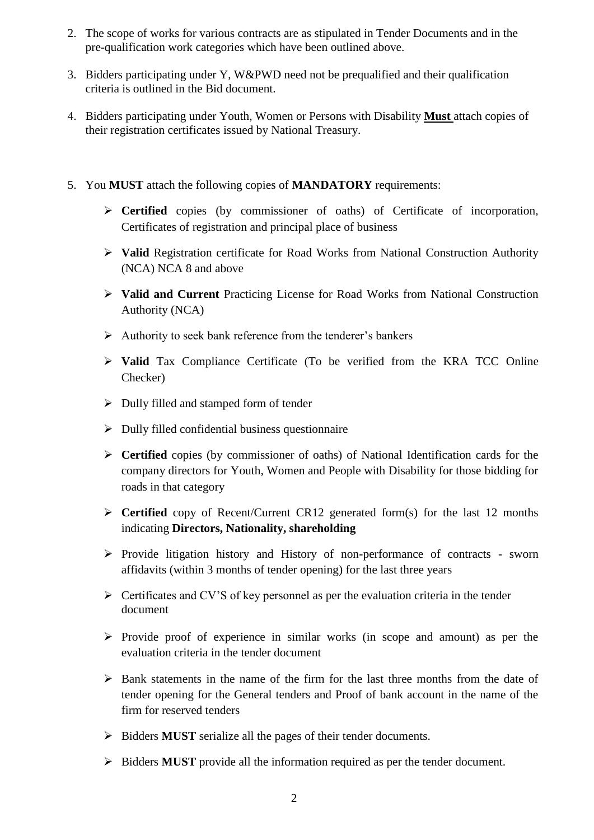- 2. The scope of works for various contracts are as stipulated in Tender Documents and in the pre-qualification work categories which have been outlined above.
- 3. Bidders participating under Y, W&PWD need not be prequalified and their qualification criteria is outlined in the Bid document.
- 4. Bidders participating under Youth, Women or Persons with Disability **Must** attach copies of their registration certificates issued by National Treasury.
- 5. You **MUST** attach the following copies of **MANDATORY** requirements:
	- **Certified** copies (by commissioner of oaths) of Certificate of incorporation, Certificates of registration and principal place of business
	- **Valid** Registration certificate for Road Works from National Construction Authority (NCA) NCA 8 and above
	- **Valid and Current** Practicing License for Road Works from National Construction Authority (NCA)
	- $\triangleright$  Authority to seek bank reference from the tenderer's bankers
	- **Valid** Tax Compliance Certificate (To be verified from the KRA TCC Online Checker)
	- $\triangleright$  Dully filled and stamped form of tender
	- $\triangleright$  Dully filled confidential business questionnaire
	- **Certified** copies (by commissioner of oaths) of National Identification cards for the company directors for Youth, Women and People with Disability for those bidding for roads in that category
	- **Certified** copy of Recent/Current CR12 generated form(s) for the last 12 months indicating **Directors, Nationality, shareholding**
	- $\triangleright$  Provide litigation history and History of non-performance of contracts sworn affidavits (within 3 months of tender opening) for the last three years
	- $\triangleright$  Certificates and CV'S of key personnel as per the evaluation criteria in the tender document
	- $\triangleright$  Provide proof of experience in similar works (in scope and amount) as per the evaluation criteria in the tender document
	- $\triangleright$  Bank statements in the name of the firm for the last three months from the date of tender opening for the General tenders and Proof of bank account in the name of the firm for reserved tenders
	- $\triangleright$  Bidders **MUST** serialize all the pages of their tender documents.
	- $\triangleright$  Bidders **MUST** provide all the information required as per the tender document.